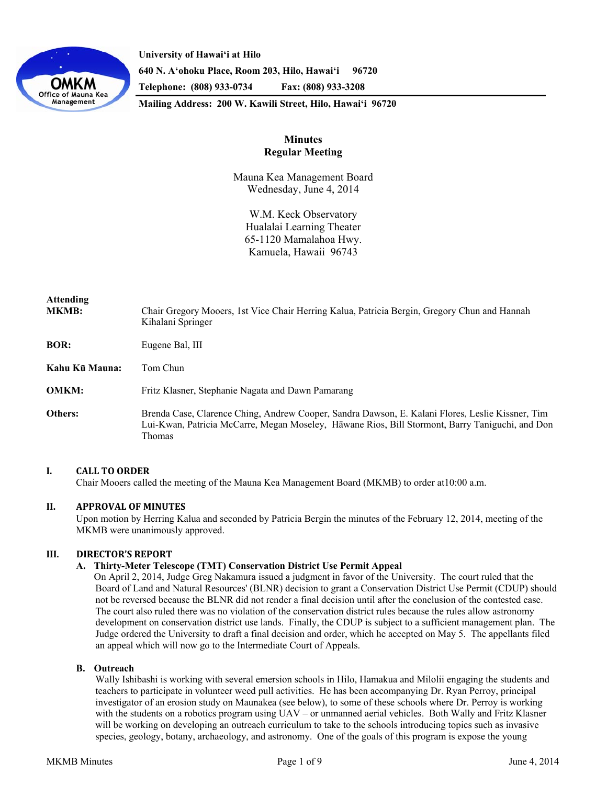

**University of Hawaiʻi at Hilo 640 N. A'ohoku Place, Room 203, Hilo, Hawai'i 96720 Telephone: (808) 933-0734 Fax: (808) 933-3208** 

**Mailing Address: 200 W. Kawili Street, Hilo, Hawai'i 96720** 

# **Minutes Regular Meeting**

Mauna Kea Management Board Wednesday, June 4, 2014

W.M. Keck Observatory Hualalai Learning Theater 65-1120 Mamalahoa Hwy. Kamuela, Hawaii 96743

| <b>Attending</b><br><b>MKMB:</b> | Chair Gregory Mooers, 1st Vice Chair Herring Kalua, Patricia Bergin, Gregory Chun and Hannah<br>Kihalani Springer                                                                                             |
|----------------------------------|---------------------------------------------------------------------------------------------------------------------------------------------------------------------------------------------------------------|
| <b>BOR:</b>                      | Eugene Bal, III                                                                                                                                                                                               |
| Kahu Kū Mauna:                   | Tom Chun                                                                                                                                                                                                      |
| <b>OMKM:</b>                     | Fritz Klasner, Stephanie Nagata and Dawn Pamarang                                                                                                                                                             |
| Others:                          | Brenda Case, Clarence Ching, Andrew Cooper, Sandra Dawson, E. Kalani Flores, Leslie Kissner, Tim<br>Lui-Kwan, Patricia McCarre, Megan Moseley, Hāwane Rios, Bill Stormont, Barry Taniguchi, and Don<br>Thomas |

### **I. CALL TO ORDER**

Chair Mooers called the meeting of the Mauna Kea Management Board (MKMB) to order at10:00 a.m.

# **II. APPROVAL OF MINUTES**

Upon motion by Herring Kalua and seconded by Patricia Bergin the minutes of the February 12, 2014, meeting of the MKMB were unanimously approved.

### **III. DIRECTOR'S REPORT**

### **A. Thirty-Meter Telescope (TMT) Conservation District Use Permit Appeal**

On April 2, 2014, Judge Greg Nakamura issued a judgment in favor of the University. The court ruled that the Board of Land and Natural Resources' (BLNR) decision to grant a Conservation District Use Permit (CDUP) should not be reversed because the BLNR did not render a final decision until after the conclusion of the contested case. The court also ruled there was no violation of the conservation district rules because the rules allow astronomy development on conservation district use lands. Finally, the CDUP is subject to a sufficient management plan. The Judge ordered the University to draft a final decision and order, which he accepted on May 5. The appellants filed an appeal which will now go to the Intermediate Court of Appeals.

### **B. Outreach**

Wally Ishibashi is working with several emersion schools in Hilo, Hamakua and Milolii engaging the students and teachers to participate in volunteer weed pull activities. He has been accompanying Dr. Ryan Perroy, principal investigator of an erosion study on Maunakea (see below), to some of these schools where Dr. Perroy is working with the students on a robotics program using UAV – or unmanned aerial vehicles. Both Wally and Fritz Klasner will be working on developing an outreach curriculum to take to the schools introducing topics such as invasive species, geology, botany, archaeology, and astronomy. One of the goals of this program is expose the young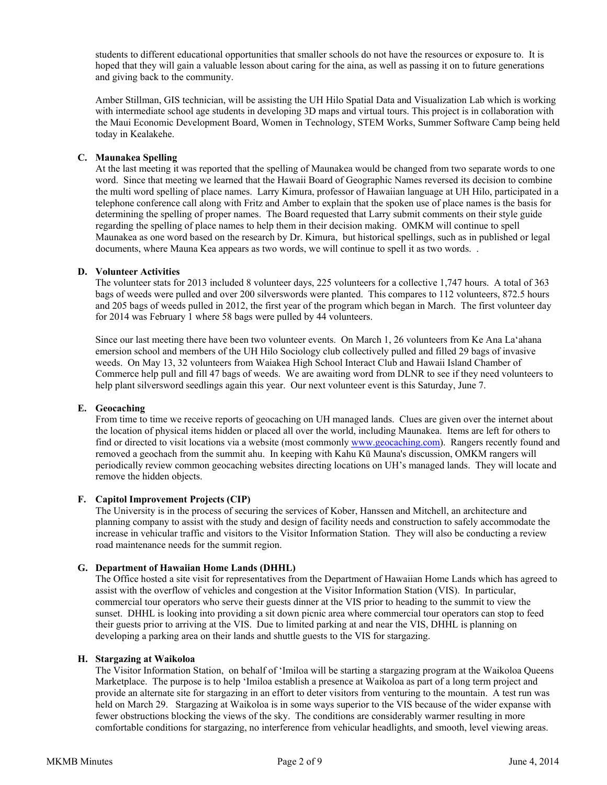students to different educational opportunities that smaller schools do not have the resources or exposure to. It is hoped that they will gain a valuable lesson about caring for the aina, as well as passing it on to future generations and giving back to the community.

Amber Stillman, GIS technician, will be assisting the UH Hilo Spatial Data and Visualization Lab which is working with intermediate school age students in developing 3D maps and virtual tours. This project is in collaboration with the Maui Economic Development Board, Women in Technology, STEM Works, Summer Software Camp being held today in Kealakehe.

### **C. Maunakea Spelling**

At the last meeting it was reported that the spelling of Maunakea would be changed from two separate words to one word. Since that meeting we learned that the Hawaii Board of Geographic Names reversed its decision to combine the multi word spelling of place names. Larry Kimura, professor of Hawaiian language at UH Hilo, participated in a telephone conference call along with Fritz and Amber to explain that the spoken use of place names is the basis for determining the spelling of proper names. The Board requested that Larry submit comments on their style guide regarding the spelling of place names to help them in their decision making. OMKM will continue to spell Maunakea as one word based on the research by Dr. Kimura, but historical spellings, such as in published or legal documents, where Mauna Kea appears as two words, we will continue to spell it as two words. .

### **D. Volunteer Activities**

The volunteer stats for 2013 included 8 volunteer days, 225 volunteers for a collective 1,747 hours. A total of 363 bags of weeds were pulled and over 200 silverswords were planted. This compares to 112 volunteers, 872.5 hours and 205 bags of weeds pulled in 2012, the first year of the program which began in March. The first volunteer day for 2014 was February 1 where 58 bags were pulled by 44 volunteers.

Since our last meeting there have been two volunteer events. On March 1, 26 volunteers from Ke Ana Laʻahana emersion school and members of the UH Hilo Sociology club collectively pulled and filled 29 bags of invasive weeds. On May 13, 32 volunteers from Waiakea High School Interact Club and Hawaii Island Chamber of Commerce help pull and fill 47 bags of weeds. We are awaiting word from DLNR to see if they need volunteers to help plant silversword seedlings again this year. Our next volunteer event is this Saturday, June 7.

### **E. Geocaching**

 From time to time we receive reports of geocaching on UH managed lands. Clues are given over the internet about the location of physical items hidden or placed all over the world, including Maunakea. Items are left for others to find or directed to visit locations via a website (most commonly www.geocaching.com). Rangers recently found and removed a geochach from the summit ahu. In keeping with Kahu Kū Mauna's discussion, OMKM rangers will periodically review common geocaching websites directing locations on UH's managed lands. They will locate and remove the hidden objects.

#### **F. Capitol Improvement Projects (CIP)**

The University is in the process of securing the services of Kober, Hanssen and Mitchell, an architecture and planning company to assist with the study and design of facility needs and construction to safely accommodate the increase in vehicular traffic and visitors to the Visitor Information Station. They will also be conducting a review road maintenance needs for the summit region.

### **G. Department of Hawaiian Home Lands (DHHL)**

The Office hosted a site visit for representatives from the Department of Hawaiian Home Lands which has agreed to assist with the overflow of vehicles and congestion at the Visitor Information Station (VIS). In particular, commercial tour operators who serve their guests dinner at the VIS prior to heading to the summit to view the sunset. DHHL is looking into providing a sit down picnic area where commercial tour operators can stop to feed their guests prior to arriving at the VIS. Due to limited parking at and near the VIS, DHHL is planning on developing a parking area on their lands and shuttle guests to the VIS for stargazing.

### **H. Stargazing at Waikoloa**

 The Visitor Information Station, on behalf of ʻImiloa will be starting a stargazing program at the Waikoloa Queens Marketplace. The purpose is to help 'Imiloa establish a presence at Waikoloa as part of a long term project and provide an alternate site for stargazing in an effort to deter visitors from venturing to the mountain. A test run was held on March 29. Stargazing at Waikoloa is in some ways superior to the VIS because of the wider expanse with fewer obstructions blocking the views of the sky. The conditions are considerably warmer resulting in more comfortable conditions for stargazing, no interference from vehicular headlights, and smooth, level viewing areas.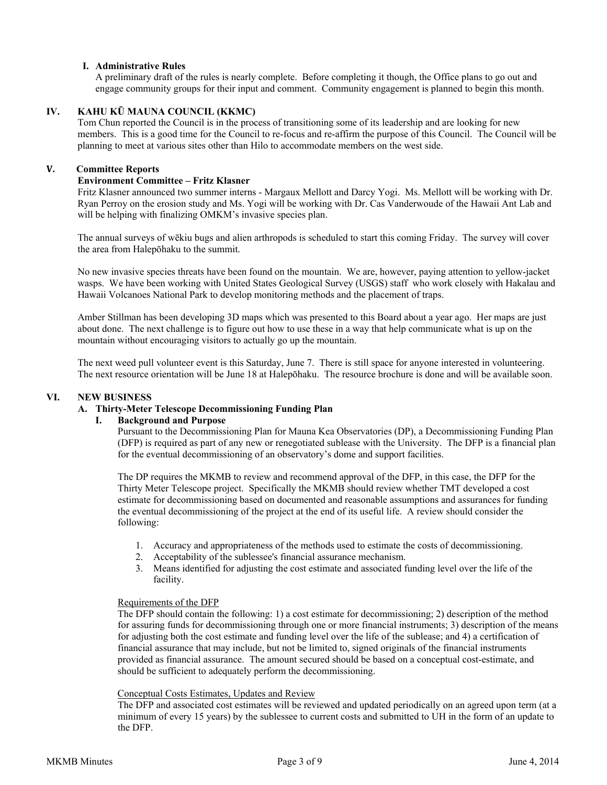# **I. Administrative Rules**

A preliminary draft of the rules is nearly complete. Before completing it though, the Office plans to go out and engage community groups for their input and comment. Community engagement is planned to begin this month.

## **IV. KAHU KŪ MAUNA COUNCIL (KKMC)**

Tom Chun reported the Council is in the process of transitioning some of its leadership and are looking for new members. This is a good time for the Council to re-focus and re-affirm the purpose of this Council. The Council will be planning to meet at various sites other than Hilo to accommodate members on the west side.

### **V. Committee Reports**

### **Environment Committee – Fritz Klasner**

Fritz Klasner announced two summer interns - Margaux Mellott and Darcy Yogi. Ms. Mellott will be working with Dr. Ryan Perroy on the erosion study and Ms. Yogi will be working with Dr. Cas Vanderwoude of the Hawaii Ant Lab and will be helping with finalizing OMKM's invasive species plan.

The annual surveys of wēkiu bugs and alien arthropods is scheduled to start this coming Friday. The survey will cover the area from Halepōhaku to the summit.

No new invasive species threats have been found on the mountain. We are, however, paying attention to yellow-jacket wasps. We have been working with United States Geological Survey (USGS) staff who work closely with Hakalau and Hawaii Volcanoes National Park to develop monitoring methods and the placement of traps.

Amber Stillman has been developing 3D maps which was presented to this Board about a year ago. Her maps are just about done. The next challenge is to figure out how to use these in a way that help communicate what is up on the mountain without encouraging visitors to actually go up the mountain.

The next weed pull volunteer event is this Saturday, June 7. There is still space for anyone interested in volunteering. The next resource orientation will be June 18 at Halepōhaku. The resource brochure is done and will be available soon.

### **VI. NEW BUSINESS**

### **A. Thirty-Meter Telescope Decommissioning Funding Plan**

### **I. Background and Purpose**

 Pursuant to the Decommissioning Plan for Mauna Kea Observatories (DP), a Decommissioning Funding Plan (DFP) is required as part of any new or renegotiated sublease with the University. The DFP is a financial plan for the eventual decommissioning of an observatory's dome and support facilities.

 The DP requires the MKMB to review and recommend approval of the DFP, in this case, the DFP for the Thirty Meter Telescope project. Specifically the MKMB should review whether TMT developed a cost estimate for decommissioning based on documented and reasonable assumptions and assurances for funding the eventual decommissioning of the project at the end of its useful life. A review should consider the following:

- 1. Accuracy and appropriateness of the methods used to estimate the costs of decommissioning.
- 2. Acceptability of the sublessee's financial assurance mechanism.
- 3. Means identified for adjusting the cost estimate and associated funding level over the life of the facility.

### Requirements of the DFP

The DFP should contain the following: 1) a cost estimate for decommissioning; 2) description of the method for assuring funds for decommissioning through one or more financial instruments; 3) description of the means for adjusting both the cost estimate and funding level over the life of the sublease; and 4) a certification of financial assurance that may include, but not be limited to, signed originals of the financial instruments provided as financial assurance. The amount secured should be based on a conceptual cost-estimate, and should be sufficient to adequately perform the decommissioning.

#### Conceptual Costs Estimates, Updates and Review

The DFP and associated cost estimates will be reviewed and updated periodically on an agreed upon term (at a minimum of every 15 years) by the sublessee to current costs and submitted to UH in the form of an update to the DFP.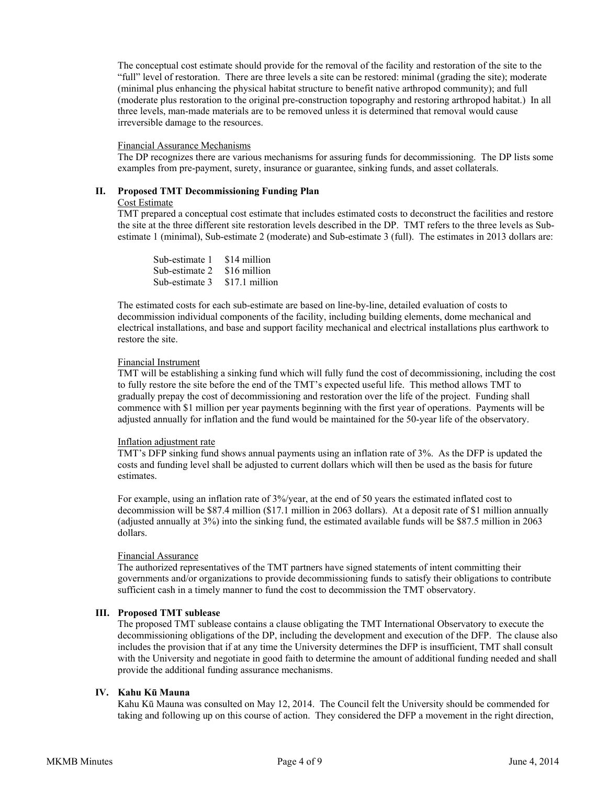The conceptual cost estimate should provide for the removal of the facility and restoration of the site to the "full" level of restoration. There are three levels a site can be restored: minimal (grading the site); moderate (minimal plus enhancing the physical habitat structure to benefit native arthropod community); and full (moderate plus restoration to the original pre-construction topography and restoring arthropod habitat.) In all three levels, man-made materials are to be removed unless it is determined that removal would cause irreversible damage to the resources.

#### Financial Assurance Mechanisms

The DP recognizes there are various mechanisms for assuring funds for decommissioning. The DP lists some examples from pre-payment, surety, insurance or guarantee, sinking funds, and asset collaterals.

### **II. Proposed TMT Decommissioning Funding Plan**

### Cost Estimate

TMT prepared a conceptual cost estimate that includes estimated costs to deconstruct the facilities and restore the site at the three different site restoration levels described in the DP. TMT refers to the three levels as Subestimate 1 (minimal), Sub-estimate 2 (moderate) and Sub-estimate 3 (full). The estimates in 2013 dollars are:

| Sub-estimate 1 | \$14 million   |
|----------------|----------------|
| Sub-estimate 2 | \$16 million   |
| Sub-estimate 3 | \$17.1 million |

The estimated costs for each sub-estimate are based on line-by-line, detailed evaluation of costs to decommission individual components of the facility, including building elements, dome mechanical and electrical installations, and base and support facility mechanical and electrical installations plus earthwork to restore the site.

### Financial Instrument

TMT will be establishing a sinking fund which will fully fund the cost of decommissioning, including the cost to fully restore the site before the end of the TMT's expected useful life. This method allows TMT to gradually prepay the cost of decommissioning and restoration over the life of the project. Funding shall commence with \$1 million per year payments beginning with the first year of operations. Payments will be adjusted annually for inflation and the fund would be maintained for the 50-year life of the observatory.

### Inflation adjustment rate

TMT's DFP sinking fund shows annual payments using an inflation rate of 3%. As the DFP is updated the costs and funding level shall be adjusted to current dollars which will then be used as the basis for future estimates.

For example, using an inflation rate of 3%/year, at the end of 50 years the estimated inflated cost to decommission will be \$87.4 million (\$17.1 million in 2063 dollars). At a deposit rate of \$1 million annually (adjusted annually at 3%) into the sinking fund, the estimated available funds will be \$87.5 million in 2063 dollars.

# Financial Assurance

The authorized representatives of the TMT partners have signed statements of intent committing their governments and/or organizations to provide decommissioning funds to satisfy their obligations to contribute sufficient cash in a timely manner to fund the cost to decommission the TMT observatory.

### **III. Proposed TMT sublease**

The proposed TMT sublease contains a clause obligating the TMT International Observatory to execute the decommissioning obligations of the DP, including the development and execution of the DFP. The clause also includes the provision that if at any time the University determines the DFP is insufficient, TMT shall consult with the University and negotiate in good faith to determine the amount of additional funding needed and shall provide the additional funding assurance mechanisms.

### **IV. Kahu Kū Mauna**

Kahu Kū Mauna was consulted on May 12, 2014. The Council felt the University should be commended for taking and following up on this course of action. They considered the DFP a movement in the right direction,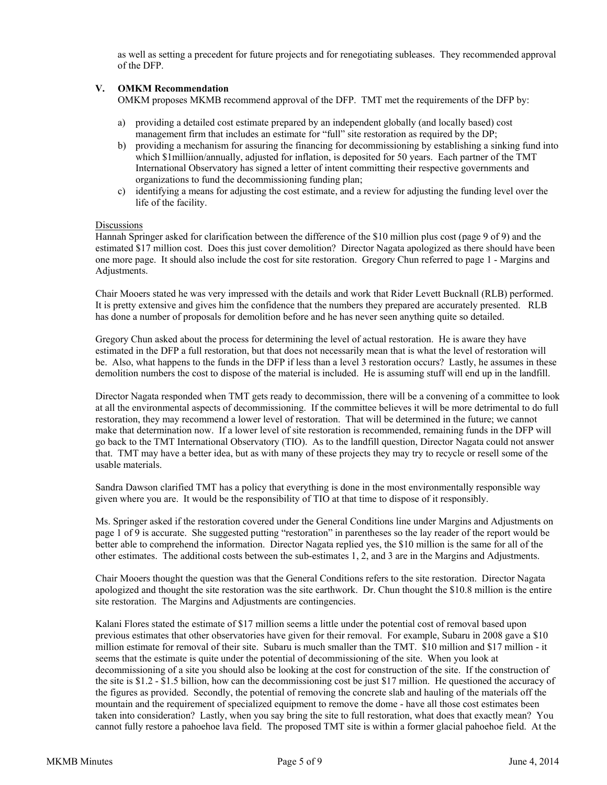as well as setting a precedent for future projects and for renegotiating subleases. They recommended approval of the DFP.

### **V. OMKM Recommendation**

OMKM proposes MKMB recommend approval of the DFP. TMT met the requirements of the DFP by:

- a) providing a detailed cost estimate prepared by an independent globally (and locally based) cost management firm that includes an estimate for "full" site restoration as required by the DP;
- b) providing a mechanism for assuring the financing for decommissioning by establishing a sinking fund into which \$1milliion/annually, adjusted for inflation, is deposited for 50 years. Each partner of the TMT International Observatory has signed a letter of intent committing their respective governments and organizations to fund the decommissioning funding plan;
- c) identifying a means for adjusting the cost estimate, and a review for adjusting the funding level over the life of the facility.

#### **Discussions**

Hannah Springer asked for clarification between the difference of the \$10 million plus cost (page 9 of 9) and the estimated \$17 million cost. Does this just cover demolition? Director Nagata apologized as there should have been one more page. It should also include the cost for site restoration. Gregory Chun referred to page 1 - Margins and Adjustments.

Chair Mooers stated he was very impressed with the details and work that Rider Levett Bucknall (RLB) performed. It is pretty extensive and gives him the confidence that the numbers they prepared are accurately presented. RLB has done a number of proposals for demolition before and he has never seen anything quite so detailed.

Gregory Chun asked about the process for determining the level of actual restoration. He is aware they have estimated in the DFP a full restoration, but that does not necessarily mean that is what the level of restoration will be. Also, what happens to the funds in the DFP if less than a level 3 restoration occurs? Lastly, he assumes in these demolition numbers the cost to dispose of the material is included. He is assuming stuff will end up in the landfill.

Director Nagata responded when TMT gets ready to decommission, there will be a convening of a committee to look at all the environmental aspects of decommissioning. If the committee believes it will be more detrimental to do full restoration, they may recommend a lower level of restoration. That will be determined in the future; we cannot make that determination now. If a lower level of site restoration is recommended, remaining funds in the DFP will go back to the TMT International Observatory (TIO). As to the landfill question, Director Nagata could not answer that. TMT may have a better idea, but as with many of these projects they may try to recycle or resell some of the usable materials.

Sandra Dawson clarified TMT has a policy that everything is done in the most environmentally responsible way given where you are. It would be the responsibility of TIO at that time to dispose of it responsibly.

Ms. Springer asked if the restoration covered under the General Conditions line under Margins and Adjustments on page 1 of 9 is accurate. She suggested putting "restoration" in parentheses so the lay reader of the report would be better able to comprehend the information. Director Nagata replied yes, the \$10 million is the same for all of the other estimates. The additional costs between the sub-estimates 1, 2, and 3 are in the Margins and Adjustments.

Chair Mooers thought the question was that the General Conditions refers to the site restoration. Director Nagata apologized and thought the site restoration was the site earthwork. Dr. Chun thought the \$10.8 million is the entire site restoration. The Margins and Adjustments are contingencies.

Kalani Flores stated the estimate of \$17 million seems a little under the potential cost of removal based upon previous estimates that other observatories have given for their removal. For example, Subaru in 2008 gave a \$10 million estimate for removal of their site. Subaru is much smaller than the TMT. \$10 million and \$17 million - it seems that the estimate is quite under the potential of decommissioning of the site. When you look at decommissioning of a site you should also be looking at the cost for construction of the site. If the construction of the site is \$1.2 - \$1.5 billion, how can the decommissioning cost be just \$17 million. He questioned the accuracy of the figures as provided. Secondly, the potential of removing the concrete slab and hauling of the materials off the mountain and the requirement of specialized equipment to remove the dome - have all those cost estimates been taken into consideration? Lastly, when you say bring the site to full restoration, what does that exactly mean? You cannot fully restore a pahoehoe lava field. The proposed TMT site is within a former glacial pahoehoe field. At the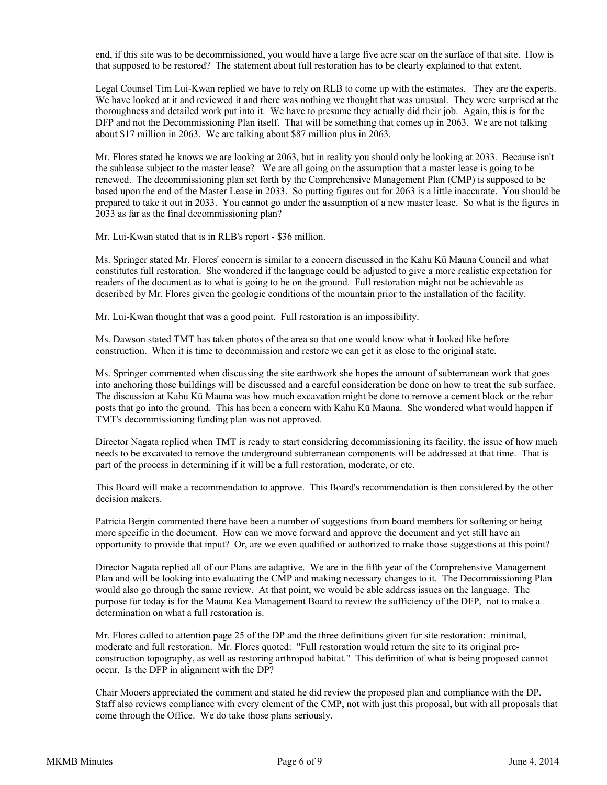end, if this site was to be decommissioned, you would have a large five acre scar on the surface of that site. How is that supposed to be restored? The statement about full restoration has to be clearly explained to that extent.

Legal Counsel Tim Lui-Kwan replied we have to rely on RLB to come up with the estimates. They are the experts. We have looked at it and reviewed it and there was nothing we thought that was unusual. They were surprised at the thoroughness and detailed work put into it. We have to presume they actually did their job. Again, this is for the DFP and not the Decommissioning Plan itself. That will be something that comes up in 2063. We are not talking about \$17 million in 2063. We are talking about \$87 million plus in 2063.

Mr. Flores stated he knows we are looking at 2063, but in reality you should only be looking at 2033. Because isn't the sublease subject to the master lease? We are all going on the assumption that a master lease is going to be renewed. The decommissioning plan set forth by the Comprehensive Management Plan (CMP) is supposed to be based upon the end of the Master Lease in 2033. So putting figures out for 2063 is a little inaccurate. You should be prepared to take it out in 2033. You cannot go under the assumption of a new master lease. So what is the figures in 2033 as far as the final decommissioning plan?

Mr. Lui-Kwan stated that is in RLB's report - \$36 million.

Ms. Springer stated Mr. Flores' concern is similar to a concern discussed in the Kahu Kū Mauna Council and what constitutes full restoration. She wondered if the language could be adjusted to give a more realistic expectation for readers of the document as to what is going to be on the ground. Full restoration might not be achievable as described by Mr. Flores given the geologic conditions of the mountain prior to the installation of the facility.

Mr. Lui-Kwan thought that was a good point. Full restoration is an impossibility.

Ms. Dawson stated TMT has taken photos of the area so that one would know what it looked like before construction. When it is time to decommission and restore we can get it as close to the original state.

Ms. Springer commented when discussing the site earthwork she hopes the amount of subterranean work that goes into anchoring those buildings will be discussed and a careful consideration be done on how to treat the sub surface. The discussion at Kahu Kū Mauna was how much excavation might be done to remove a cement block or the rebar posts that go into the ground. This has been a concern with Kahu Kū Mauna. She wondered what would happen if TMT's decommissioning funding plan was not approved.

Director Nagata replied when TMT is ready to start considering decommissioning its facility, the issue of how much needs to be excavated to remove the underground subterranean components will be addressed at that time. That is part of the process in determining if it will be a full restoration, moderate, or etc.

This Board will make a recommendation to approve. This Board's recommendation is then considered by the other decision makers.

Patricia Bergin commented there have been a number of suggestions from board members for softening or being more specific in the document. How can we move forward and approve the document and yet still have an opportunity to provide that input? Or, are we even qualified or authorized to make those suggestions at this point?

Director Nagata replied all of our Plans are adaptive. We are in the fifth year of the Comprehensive Management Plan and will be looking into evaluating the CMP and making necessary changes to it. The Decommissioning Plan would also go through the same review. At that point, we would be able address issues on the language. The purpose for today is for the Mauna Kea Management Board to review the sufficiency of the DFP, not to make a determination on what a full restoration is.

Mr. Flores called to attention page 25 of the DP and the three definitions given for site restoration: minimal, moderate and full restoration. Mr. Flores quoted: "Full restoration would return the site to its original preconstruction topography, as well as restoring arthropod habitat." This definition of what is being proposed cannot occur. Is the DFP in alignment with the DP?

Chair Mooers appreciated the comment and stated he did review the proposed plan and compliance with the DP. Staff also reviews compliance with every element of the CMP, not with just this proposal, but with all proposals that come through the Office. We do take those plans seriously.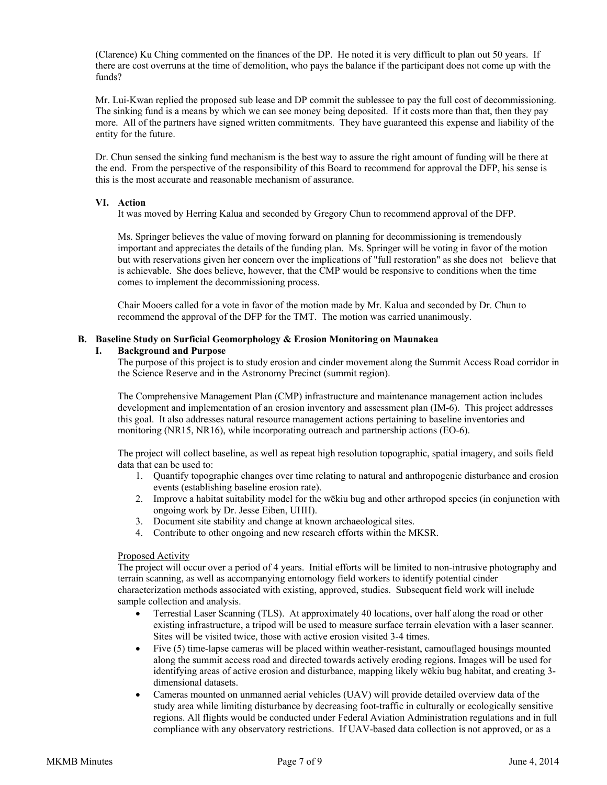(Clarence) Ku Ching commented on the finances of the DP. He noted it is very difficult to plan out 50 years. If there are cost overruns at the time of demolition, who pays the balance if the participant does not come up with the funds?

Mr. Lui-Kwan replied the proposed sub lease and DP commit the sublessee to pay the full cost of decommissioning. The sinking fund is a means by which we can see money being deposited. If it costs more than that, then they pay more. All of the partners have signed written commitments. They have guaranteed this expense and liability of the entity for the future.

Dr. Chun sensed the sinking fund mechanism is the best way to assure the right amount of funding will be there at the end. From the perspective of the responsibility of this Board to recommend for approval the DFP, his sense is this is the most accurate and reasonable mechanism of assurance.

### **VI. Action**

It was moved by Herring Kalua and seconded by Gregory Chun to recommend approval of the DFP.

 Ms. Springer believes the value of moving forward on planning for decommissioning is tremendously important and appreciates the details of the funding plan. Ms. Springer will be voting in favor of the motion but with reservations given her concern over the implications of "full restoration" as she does not believe that is achievable. She does believe, however, that the CMP would be responsive to conditions when the time comes to implement the decommissioning process.

 Chair Mooers called for a vote in favor of the motion made by Mr. Kalua and seconded by Dr. Chun to recommend the approval of the DFP for the TMT. The motion was carried unanimously.

#### **B. Baseline Study on Surficial Geomorphology & Erosion Monitoring on Maunakea**

#### **I. Background and Purpose**

The purpose of this project is to study erosion and cinder movement along the Summit Access Road corridor in the Science Reserve and in the Astronomy Precinct (summit region).

The Comprehensive Management Plan (CMP) infrastructure and maintenance management action includes development and implementation of an erosion inventory and assessment plan (IM-6). This project addresses this goal. It also addresses natural resource management actions pertaining to baseline inventories and monitoring (NR15, NR16), while incorporating outreach and partnership actions (EO-6).

The project will collect baseline, as well as repeat high resolution topographic, spatial imagery, and soils field data that can be used to:

- 1. Quantify topographic changes over time relating to natural and anthropogenic disturbance and erosion events (establishing baseline erosion rate).
- 2. Improve a habitat suitability model for the wēkiu bug and other arthropod species (in conjunction with ongoing work by Dr. Jesse Eiben, UHH).
- 3. Document site stability and change at known archaeological sites.
- 4. Contribute to other ongoing and new research efforts within the MKSR.

#### Proposed Activity

The project will occur over a period of 4 years. Initial efforts will be limited to non-intrusive photography and terrain scanning, as well as accompanying entomology field workers to identify potential cinder characterization methods associated with existing, approved, studies. Subsequent field work will include sample collection and analysis.

- Terrestial Laser Scanning (TLS). At approximately 40 locations, over half along the road or other existing infrastructure, a tripod will be used to measure surface terrain elevation with a laser scanner. Sites will be visited twice, those with active erosion visited 3-4 times.
- Five (5) time-lapse cameras will be placed within weather-resistant, camouflaged housings mounted along the summit access road and directed towards actively eroding regions. Images will be used for identifying areas of active erosion and disturbance, mapping likely wēkiu bug habitat, and creating 3 dimensional datasets.
- Cameras mounted on unmanned aerial vehicles (UAV) will provide detailed overview data of the study area while limiting disturbance by decreasing foot-traffic in culturally or ecologically sensitive regions. All flights would be conducted under Federal Aviation Administration regulations and in full compliance with any observatory restrictions. If UAV-based data collection is not approved, or as a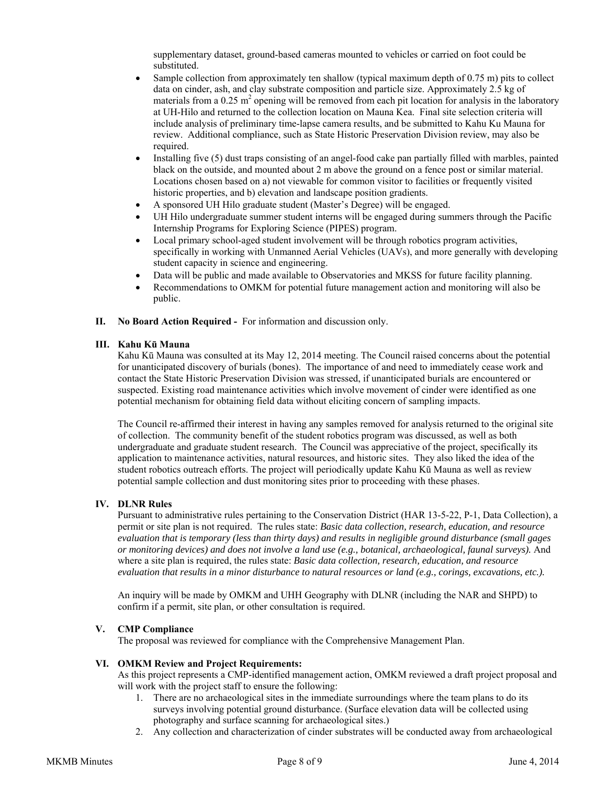supplementary dataset, ground-based cameras mounted to vehicles or carried on foot could be substituted.

- Sample collection from approximately ten shallow (typical maximum depth of 0.75 m) pits to collect data on cinder, ash, and clay substrate composition and particle size. Approximately  $2.5$  kg of materials from a  $0.25 \text{ m}^2$  opening will be removed from each pit location for analysis in the laboratory at UH-Hilo and returned to the collection location on Mauna Kea. Final site selection criteria will include analysis of preliminary time-lapse camera results, and be submitted to Kahu Ku Mauna for review. Additional compliance, such as State Historic Preservation Division review, may also be required.
- Installing five (5) dust traps consisting of an angel-food cake pan partially filled with marbles, painted black on the outside, and mounted about 2 m above the ground on a fence post or similar material. Locations chosen based on a) not viewable for common visitor to facilities or frequently visited historic properties, and b) elevation and landscape position gradients.
- A sponsored UH Hilo graduate student (Master's Degree) will be engaged.
- UH Hilo undergraduate summer student interns will be engaged during summers through the Pacific Internship Programs for Exploring Science (PIPES) program.
- Local primary school-aged student involvement will be through robotics program activities, specifically in working with Unmanned Aerial Vehicles (UAVs), and more generally with developing student capacity in science and engineering.
- Data will be public and made available to Observatories and MKSS for future facility planning.
- Recommendations to OMKM for potential future management action and monitoring will also be public.
- **II. No Board Action Required** For information and discussion only.

# **III. Kahu Kū Mauna**

Kahu Kū Mauna was consulted at its May 12, 2014 meeting. The Council raised concerns about the potential for unanticipated discovery of burials (bones). The importance of and need to immediately cease work and contact the State Historic Preservation Division was stressed, if unanticipated burials are encountered or suspected. Existing road maintenance activities which involve movement of cinder were identified as one potential mechanism for obtaining field data without eliciting concern of sampling impacts.

The Council re-affirmed their interest in having any samples removed for analysis returned to the original site of collection. The community benefit of the student robotics program was discussed, as well as both undergraduate and graduate student research. The Council was appreciative of the project, specifically its application to maintenance activities, natural resources, and historic sites. They also liked the idea of the student robotics outreach efforts. The project will periodically update Kahu Kū Mauna as well as review potential sample collection and dust monitoring sites prior to proceeding with these phases.

### **IV. DLNR Rules**

Pursuant to administrative rules pertaining to the Conservation District (HAR 13-5-22, P-1, Data Collection), a permit or site plan is not required. The rules state: *Basic data collection, research, education, and resource evaluation that is temporary (less than thirty days) and results in negligible ground disturbance (small gages or monitoring devices) and does not involve a land use (e.g., botanical, archaeological, faunal surveys).* And where a site plan is required, the rules state: *Basic data collection, research, education, and resource evaluation that results in a minor disturbance to natural resources or land (e.g., corings, excavations, etc.).* 

An inquiry will be made by OMKM and UHH Geography with DLNR (including the NAR and SHPD) to confirm if a permit, site plan, or other consultation is required.

# **V. CMP Compliance**

The proposal was reviewed for compliance with the Comprehensive Management Plan.

### **VI. OMKM Review and Project Requirements:**

As this project represents a CMP-identified management action, OMKM reviewed a draft project proposal and will work with the project staff to ensure the following:

- 1. There are no archaeological sites in the immediate surroundings where the team plans to do its surveys involving potential ground disturbance. (Surface elevation data will be collected using photography and surface scanning for archaeological sites.)
- 2. Any collection and characterization of cinder substrates will be conducted away from archaeological